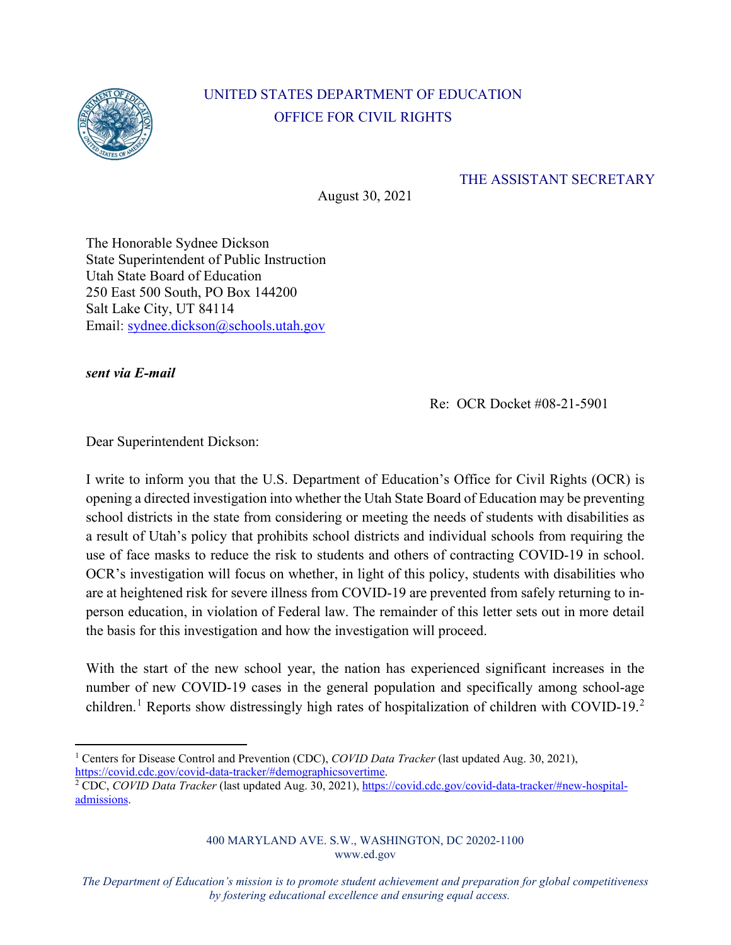

## UNITED STATES DEPARTMENT OF EDUCATION OFFICE FOR CIVIL RIGHTS

## THE ASSISTANT SECRETARY

August 30, 2021

The Honorable Sydnee Dickson State Superintendent of Public Instruction Utah State Board of Education 250 East 500 South, PO Box 144200 Salt Lake City, UT 84114 Email: sydnee.dickson@schools.utah.gov

*sent via E-mail*

Re: OCR Docket #08-21-5901

Dear Superintendent Dickson:

I write to inform you that the U.S. Department of Education's Office for Civil Rights (OCR) is opening a directed investigation into whether the Utah State Board of Education may be preventing school districts in the state from considering or meeting the needs of students with disabilities as a result of Utah's policy that prohibits school districts and individual schools from requiring the use of face masks to reduce the risk to students and others of contracting COVID-19 in school. OCR's investigation will focus on whether, in light of this policy, students with disabilities who are at heightened risk for severe illness from COVID-19 are prevented from safely returning to inperson education, in violation of Federal law. The remainder of this letter sets out in more detail the basis for this investigation and how the investigation will proceed.

With the start of the new school year, the nation has experienced significant increases in the number of new COVID-19 cases in the general population and specifically among school-age children.<sup>[1](#page-0-0)</sup> Reports show distressingly high rates of hospitalization of children with COVID-19.<sup>[2](#page-0-1)</sup>

400 MARYLAND AVE. S.W., WASHINGTON, DC 20202-1100 www.ed.gov

*The Department of Education's mission is to promote student achievement and preparation for global competitiveness by fostering educational excellence and ensuring equal access.*

<span id="page-0-0"></span><sup>&</sup>lt;sup>1</sup> Centers for Disease Control and Prevention (CDC), *COVID Data Tracker* (last updated Aug. 30, 2021), https://covid.cdc.gov/covid-data-tracker/#demographicsovertime.

<span id="page-0-1"></span><sup>&</sup>lt;sup>2</sup> CDC, *COVID Data Tracker* (last updated Aug. 30, 2021)[, https://covid.cdc.gov/covid-data-tracker/#new-hospital](https://covid.cdc.gov/covid-data-tracker/#new-hospital-admissions)[admissions.](https://covid.cdc.gov/covid-data-tracker/#new-hospital-admissions)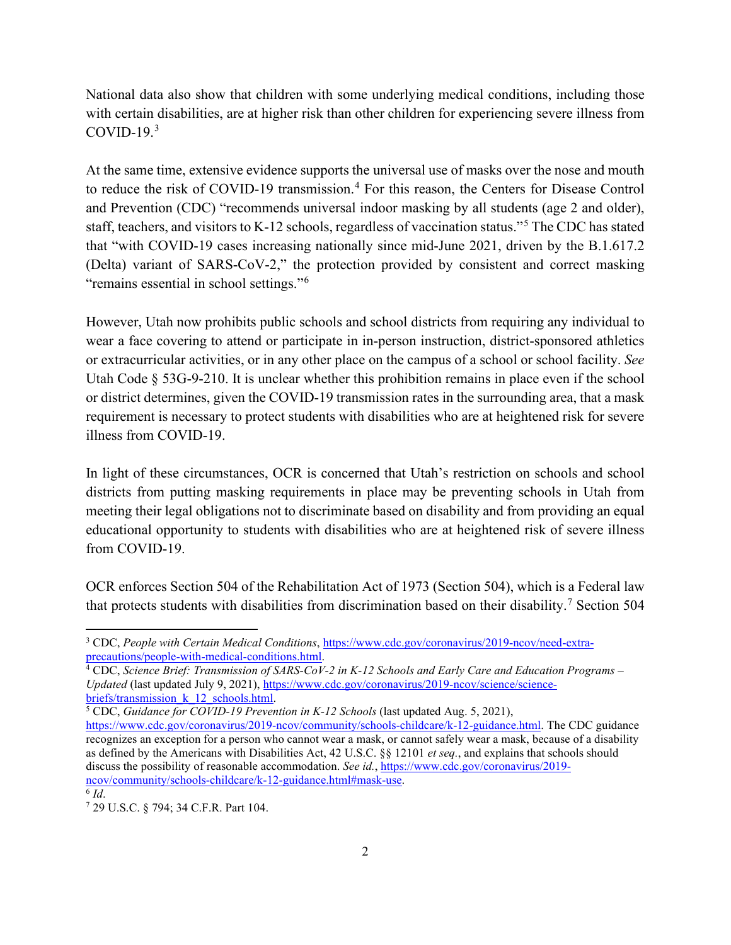National data also show that children with some underlying medical conditions, including those with certain disabilities, are at higher risk than other children for experiencing severe illness from  $COVID-19.<sup>3</sup>$  $COVID-19.<sup>3</sup>$  $COVID-19.<sup>3</sup>$ 

At the same time, extensive evidence supports the universal use of masks over the nose and mouth to reduce the risk of COVID-19 transmission.<sup>[4](#page-1-1)</sup> For this reason, the Centers for Disease Control and Prevention (CDC) "recommends universal indoor masking by all students (age 2 and older), staff, teachers, and visitors to K-12 schools, regardless of vaccination status."[5](#page-1-2) The CDC has stated that "with COVID-19 cases increasing nationally since mid-June 2021, driven by the B.1.617.2 (Delta) variant of SARS-CoV-2," the protection provided by consistent and correct masking "remains essential in school settings."<sup>[6](#page-1-3)</sup>

However, Utah now prohibits public schools and school districts from requiring any individual to wear a face covering to attend or participate in in-person instruction, district-sponsored athletics or extracurricular activities, or in any other place on the campus of a school or school facility. *See*  Utah Code § 53G-9-210. It is unclear whether this prohibition remains in place even if the school or district determines, given the COVID-19 transmission rates in the surrounding area, that a mask requirement is necessary to protect students with disabilities who are at heightened risk for severe illness from COVID-19.

In light of these circumstances, OCR is concerned that Utah's restriction on schools and school districts from putting masking requirements in place may be preventing schools in Utah from meeting their legal obligations not to discriminate based on disability and from providing an equal educational opportunity to students with disabilities who are at heightened risk of severe illness from COVID-19.

OCR enforces Section 504 of the Rehabilitation Act of 1973 (Section 504), which is a Federal law that protects students with disabilities from discrimination based on their disability.<sup>[7](#page-1-4)</sup> Section 504

<span id="page-1-4"></span><span id="page-1-3"></span>

<span id="page-1-0"></span><sup>&</sup>lt;sup>3</sup> CDC, *People with Certain Medical Conditions*, https://www.cdc.gov/coronavirus/2019-ncov/need-extra-<br>precautions/people-with-medical-conditions.html.

<span id="page-1-1"></span><sup>&</sup>lt;sup>4</sup> CDC, *Science Brief: Transmission of SARS-CoV-2 in K-12 Schools and Early Care and Education Programs – Updated* (last updated July 9, 2021), https://www.cdc.gov/coronavirus/2019-ncov/science/science-<br>briefs/transmission k 12 schools.html

<span id="page-1-2"></span> $\overline{^5$  CDC, *Guidance for COVID-19 Prevention in K-12 Schools* (last updated Aug. 5, 2021),

[https://www.cdc.gov/coronavirus/2019-ncov/community/schools-childcare/k-12-guidance.html.](https://www.cdc.gov/coronavirus/2019-ncov/community/schools-childcare/k-12-guidance.html) The CDC guidance recognizes an exception for a person who cannot wear a mask, or cannot safely wear a mask, because of a disability as defined by the Americans with Disabilities Act, 42 U.S.C. §§ 12101 *et seq.*, and explains that schools should discuss the possibility of reasonable accommodation. *See id.*, [https://www.cdc.gov/coronavirus/2019](https://www.cdc.gov/coronavirus/2019-ncov/community/schools-childcare/k-12-guidance.html#mask-use) [ncov/community/schools-childcare/k-12-guidance.html#mask-use.](https://www.cdc.gov/coronavirus/2019-ncov/community/schools-childcare/k-12-guidance.html#mask-use)<br><sup>6</sup> *Id*. 7 29 U.S.C. § 794; 34 C.F.R. Part 104.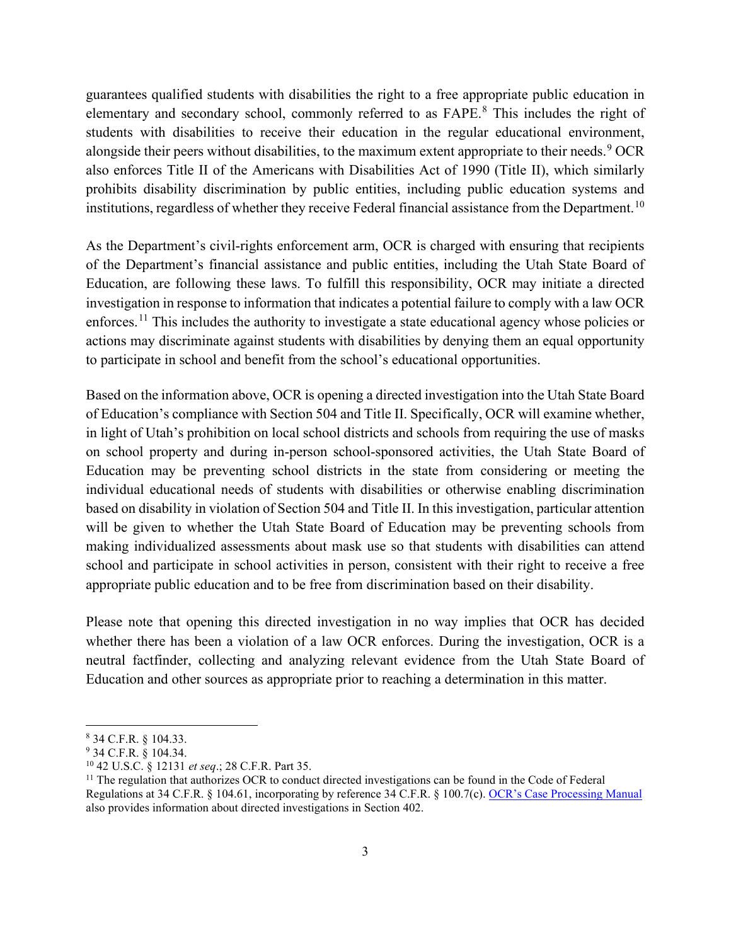guarantees qualified students with disabilities the right to a free appropriate public education in elementary and secondary school, commonly referred to as FAPE.[8](#page-2-0) This includes the right of students with disabilities to receive their education in the regular educational environment, alongside their peers without disabilities, to the maximum extent appropriate to their needs.<sup>[9](#page-2-1)</sup> OCR also enforces Title II of the Americans with Disabilities Act of 1990 (Title II), which similarly prohibits disability discrimination by public entities, including public education systems and institutions, regardless of whether they receive Federal financial assistance from the Department.<sup>[10](#page-2-2)</sup>

As the Department's civil-rights enforcement arm, OCR is charged with ensuring that recipients of the Department's financial assistance and public entities, including the Utah State Board of Education, are following these laws. To fulfill this responsibility, OCR may initiate a directed investigation in response to information that indicates a potential failure to comply with a law OCR enforces.<sup>[11](#page-2-3)</sup> This includes the authority to investigate a state educational agency whose policies or actions may discriminate against students with disabilities by denying them an equal opportunity to participate in school and benefit from the school's educational opportunities.

Based on the information above, OCR is opening a directed investigation into the Utah State Board of Education's compliance with Section 504 and Title II. Specifically, OCR will examine whether, in light of Utah's prohibition on local school districts and schools from requiring the use of masks on school property and during in-person school-sponsored activities, the Utah State Board of Education may be preventing school districts in the state from considering or meeting the individual educational needs of students with disabilities or otherwise enabling discrimination based on disability in violation of Section 504 and Title II. In this investigation, particular attention will be given to whether the Utah State Board of Education may be preventing schools from making individualized assessments about mask use so that students with disabilities can attend school and participate in school activities in person, consistent with their right to receive a free appropriate public education and to be free from discrimination based on their disability.

Please note that opening this directed investigation in no way implies that OCR has decided whether there has been a violation of a law OCR enforces. During the investigation, OCR is a neutral factfinder, collecting and analyzing relevant evidence from the Utah State Board of Education and other sources as appropriate prior to reaching a determination in this matter.

<span id="page-2-0"></span><sup>8</sup> 34 C.F.R. § 104.33.

<span id="page-2-1"></span><sup>9</sup> 34 C.F.R. § 104.34.

<span id="page-2-3"></span><span id="page-2-2"></span><sup>&</sup>lt;sup>10</sup> 42 U.S.C. § 12131 *et seq.*; 28 C.F.R. Part 35.<br><sup>11</sup> The regulation that authorizes OCR to conduct directed investigations can be found in the Code of Federal Regulations at 34 C.F.R. § 104.61, incorporating by reference 34 C.F.R. § 100.7(c). [OCR's Case Processing Manual](https://www2.ed.gov/about/offices/list/ocr/docs/ocrcpm.pdf) also provides information about directed investigations in Section 402.